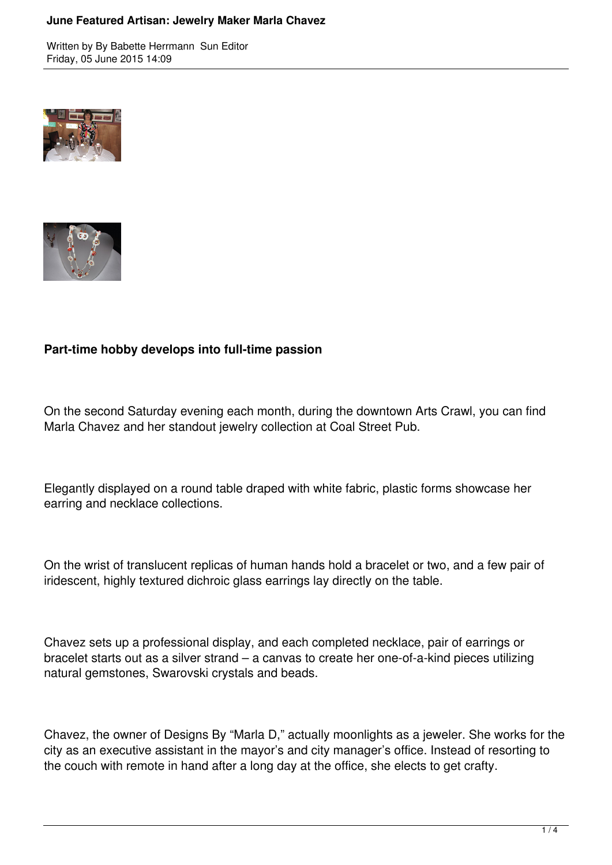Written by By Babette Herrmann Sun Editor Friday, 05 June 2015 14:09





## **Part-time hobby develops into full-time passion**

On the second Saturday evening each month, during the downtown Arts Crawl, you can find Marla Chavez and her standout jewelry collection at Coal Street Pub.

Elegantly displayed on a round table draped with white fabric, plastic forms showcase her earring and necklace collections.

On the wrist of translucent replicas of human hands hold a bracelet or two, and a few pair of iridescent, highly textured dichroic glass earrings lay directly on the table.

Chavez sets up a professional display, and each completed necklace, pair of earrings or bracelet starts out as a silver strand – a canvas to create her one-of-a-kind pieces utilizing natural gemstones, Swarovski crystals and beads.

Chavez, the owner of Designs By "Marla D," actually moonlights as a jeweler. She works for the city as an executive assistant in the mayor's and city manager's office. Instead of resorting to the couch with remote in hand after a long day at the office, she elects to get crafty.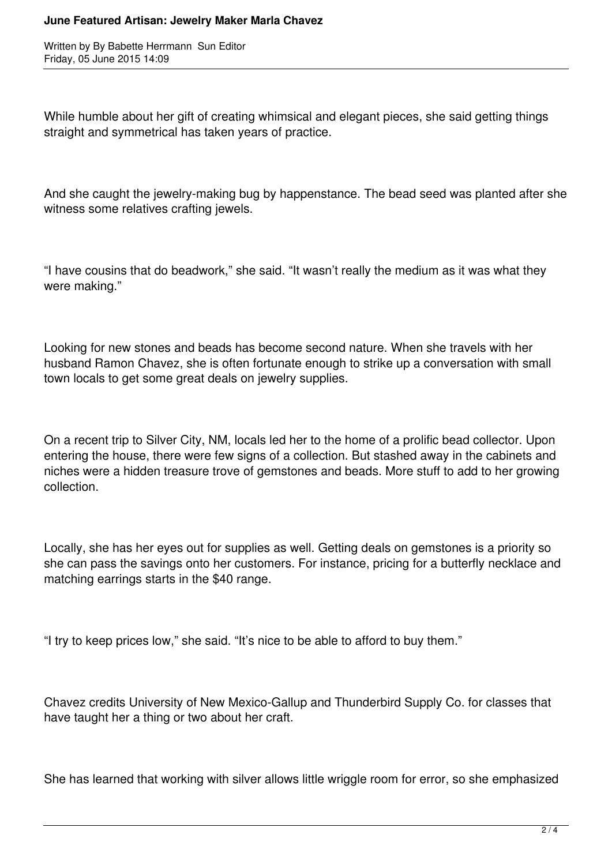Written by By Babette Herrmann Sun Editor Friday, 05 June 2015 14:09

While humble about her gift of creating whimsical and elegant pieces, she said getting things straight and symmetrical has taken years of practice.

And she caught the jewelry-making bug by happenstance. The bead seed was planted after she witness some relatives crafting jewels.

"I have cousins that do beadwork," she said. "It wasn't really the medium as it was what they were making."

Looking for new stones and beads has become second nature. When she travels with her husband Ramon Chavez, she is often fortunate enough to strike up a conversation with small town locals to get some great deals on jewelry supplies.

On a recent trip to Silver City, NM, locals led her to the home of a prolific bead collector. Upon entering the house, there were few signs of a collection. But stashed away in the cabinets and niches were a hidden treasure trove of gemstones and beads. More stuff to add to her growing collection.

Locally, she has her eyes out for supplies as well. Getting deals on gemstones is a priority so she can pass the savings onto her customers. For instance, pricing for a butterfly necklace and matching earrings starts in the \$40 range.

"I try to keep prices low," she said. "It's nice to be able to afford to buy them."

Chavez credits University of New Mexico-Gallup and Thunderbird Supply Co. for classes that have taught her a thing or two about her craft.

She has learned that working with silver allows little wriggle room for error, so she emphasized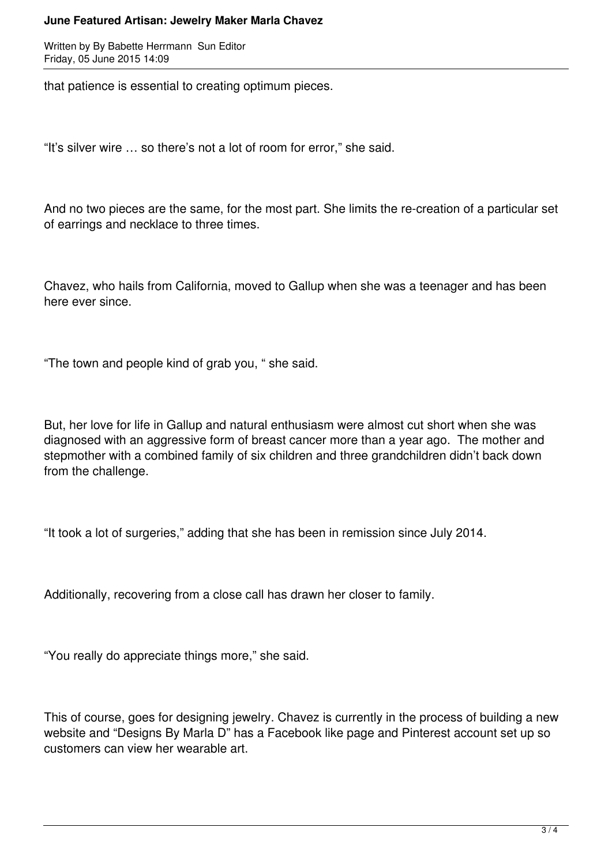Written by By Babette Herrmann Sun Editor Friday, 05 June 2015 14:09

that patience is essential to creating optimum pieces.

"It's silver wire … so there's not a lot of room for error," she said.

And no two pieces are the same, for the most part. She limits the re-creation of a particular set of earrings and necklace to three times.

Chavez, who hails from California, moved to Gallup when she was a teenager and has been here ever since.

"The town and people kind of grab you, " she said.

But, her love for life in Gallup and natural enthusiasm were almost cut short when she was diagnosed with an aggressive form of breast cancer more than a year ago. The mother and stepmother with a combined family of six children and three grandchildren didn't back down from the challenge.

"It took a lot of surgeries," adding that she has been in remission since July 2014.

Additionally, recovering from a close call has drawn her closer to family.

"You really do appreciate things more," she said.

This of course, goes for designing jewelry. Chavez is currently in the process of building a new website and "Designs By Marla D" has a Facebook like page and Pinterest account set up so customers can view her wearable art.